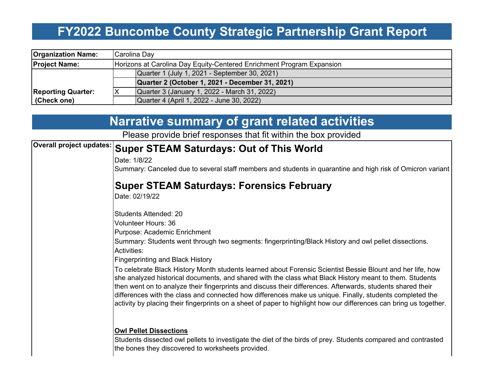# **FY2022 Buncombe County Strategic Partnership Grant Report**

| <b>Organization Name:</b> |                                               | Carolina Day                                                          |  |  |  |  |  |
|---------------------------|-----------------------------------------------|-----------------------------------------------------------------------|--|--|--|--|--|
| <b>Project Name:</b>      |                                               | Horizons at Carolina Day Equity-Centered Enrichment Program Expansion |  |  |  |  |  |
|                           | Quarter 1 (July 1, 2021 - September 30, 2021) |                                                                       |  |  |  |  |  |
|                           |                                               | Quarter 2 (October 1, 2021 - December 31, 2021)                       |  |  |  |  |  |
| <b>Reporting Quarter:</b> |                                               | Quarter 3 (January 1, 2022 - March 31, 2022)                          |  |  |  |  |  |
| (Check one)               |                                               | Quarter 4 (April 1, 2022 - June 30, 2022)                             |  |  |  |  |  |

|                                 | <b>Narrative summary of grant related activities</b>                                                                                                                                                                                                                                                                                                                                                                                                                                                                                                                   |  |  |  |  |
|---------------------------------|------------------------------------------------------------------------------------------------------------------------------------------------------------------------------------------------------------------------------------------------------------------------------------------------------------------------------------------------------------------------------------------------------------------------------------------------------------------------------------------------------------------------------------------------------------------------|--|--|--|--|
|                                 | Please provide brief responses that fit within the box provided                                                                                                                                                                                                                                                                                                                                                                                                                                                                                                        |  |  |  |  |
| <b>Overall project updates:</b> | <b>Super STEAM Saturdays: Out of This World</b>                                                                                                                                                                                                                                                                                                                                                                                                                                                                                                                        |  |  |  |  |
|                                 | Date: 1/8/22                                                                                                                                                                                                                                                                                                                                                                                                                                                                                                                                                           |  |  |  |  |
|                                 | Summary: Canceled due to several staff members and students in quarantine and high risk of Omicron variant                                                                                                                                                                                                                                                                                                                                                                                                                                                             |  |  |  |  |
|                                 | <b>Super STEAM Saturdays: Forensics February</b>                                                                                                                                                                                                                                                                                                                                                                                                                                                                                                                       |  |  |  |  |
|                                 | Date: 02/19/22                                                                                                                                                                                                                                                                                                                                                                                                                                                                                                                                                         |  |  |  |  |
|                                 | <b>Students Attended: 20</b>                                                                                                                                                                                                                                                                                                                                                                                                                                                                                                                                           |  |  |  |  |
|                                 | <b>Volunteer Hours: 36</b>                                                                                                                                                                                                                                                                                                                                                                                                                                                                                                                                             |  |  |  |  |
|                                 | Purpose: Academic Enrichment<br>Summary: Students went through two segments: fingerprinting/Black History and owl pellet dissections.<br>Activities:                                                                                                                                                                                                                                                                                                                                                                                                                   |  |  |  |  |
|                                 | <b>Fingerprinting and Black History</b>                                                                                                                                                                                                                                                                                                                                                                                                                                                                                                                                |  |  |  |  |
|                                 | To celebrate Black History Month students learned about Forensic Scientist Bessie Blount and her life, how<br>she analyzed historical documents, and shared with the class what Black History meant to them. Students<br>then went on to analyze their fingerprints and discuss their differences. Afterwards, students shared their<br>differences with the class and connected how differences make us unique. Finally, students completed the<br>activity by placing their fingerprints on a sheet of paper to highlight how our differences can bring us together. |  |  |  |  |
|                                 | <b>Owl Pellet Dissections</b>                                                                                                                                                                                                                                                                                                                                                                                                                                                                                                                                          |  |  |  |  |
|                                 | Students dissected owl pellets to investigate the diet of the birds of prey. Students compared and contrasted                                                                                                                                                                                                                                                                                                                                                                                                                                                          |  |  |  |  |

Students dissected owl pellets to investigate the diet of the birds of prey. Students compared and contrasted the bones they discovered to worksheets provided.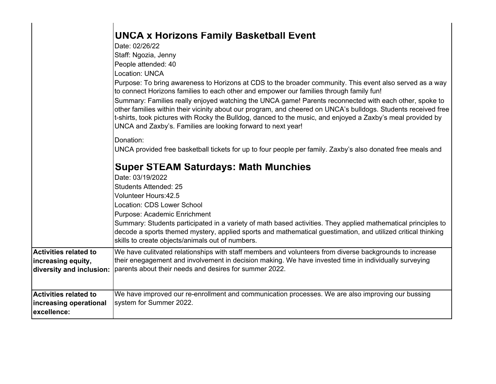|                                                                                | <b>UNCA x Horizons Family Basketball Event</b><br>Date: 02/26/22<br>Staff: Ngozia, Jenny<br>People attended: 40<br><b>Location: UNCA</b><br>Purpose: To bring awareness to Horizons at CDS to the broader community. This event also served as a way<br>to connect Horizons families to each other and empower our families through family fun!<br>Summary: Families really enjoyed watching the UNCA game! Parents reconnected with each other, spoke to<br>other families within their vicinity about our program, and cheered on UNCA's bulldogs. Students received free<br>t-shirts, took pictures with Rocky the Bulldog, danced to the music, and enjoyed a Zaxby's meal provided by<br>UNCA and Zaxby's. Families are looking forward to next year! |  |  |  |  |
|--------------------------------------------------------------------------------|------------------------------------------------------------------------------------------------------------------------------------------------------------------------------------------------------------------------------------------------------------------------------------------------------------------------------------------------------------------------------------------------------------------------------------------------------------------------------------------------------------------------------------------------------------------------------------------------------------------------------------------------------------------------------------------------------------------------------------------------------------|--|--|--|--|
|                                                                                | Donation:<br>UNCA provided free basketball tickets for up to four people per family. Zaxby's also donated free meals and<br><b>Super STEAM Saturdays: Math Munchies</b><br>Date: 03/19/2022<br><b>Students Attended: 25</b><br><b>Volunteer Hours:42.5</b><br>Location: CDS Lower School<br>Purpose: Academic Enrichment<br>Summary: Students participated in a variety of math based activities. They applied mathematical principles to<br>decode a sports themed mystery, applied sports and mathematical guestimation, and utilized critical thinking<br>skills to create objects/animals out of numbers.                                                                                                                                              |  |  |  |  |
| <b>Activities related to</b><br>increasing equity,<br>diversity and inclusion: | We have culitvated relationships with staff members and volunteers from diverse backgrounds to increase<br>their enegagement and involvement in decision making. We have invested time in individually surveying<br>parents about their needs and desires for summer 2022.                                                                                                                                                                                                                                                                                                                                                                                                                                                                                 |  |  |  |  |
| <b>Activities related to</b><br>increasing operational<br>excellence:          | We have improved our re-enrollment and communication processes. We are also improving our bussing<br>system for Summer 2022.                                                                                                                                                                                                                                                                                                                                                                                                                                                                                                                                                                                                                               |  |  |  |  |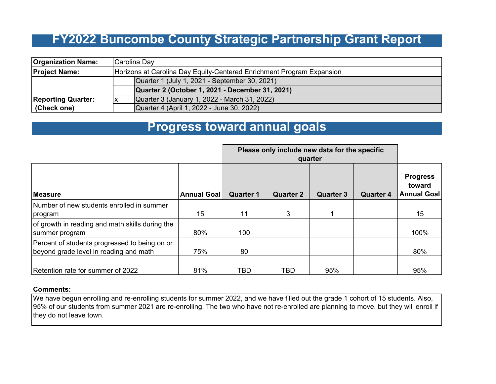## **FY2022 Buncombe County Strategic Partnership Grant Report**

| <b>Organization Name:</b> |                                                                                                  | Carolina Day                                                          |  |  |  |  |
|---------------------------|--------------------------------------------------------------------------------------------------|-----------------------------------------------------------------------|--|--|--|--|
| <b>Project Name:</b>      |                                                                                                  | Horizons at Carolina Day Equity-Centered Enrichment Program Expansion |  |  |  |  |
|                           | Quarter 1 (July 1, 2021 - September 30, 2021)<br>Quarter 2 (October 1, 2021 - December 31, 2021) |                                                                       |  |  |  |  |
|                           |                                                                                                  |                                                                       |  |  |  |  |
| <b>Reporting Quarter:</b> |                                                                                                  | Quarter 3 (January 1, 2022 - March 31, 2022)                          |  |  |  |  |
| (Check one)               |                                                                                                  | Quarter 4 (April 1, 2022 - June 30, 2022)                             |  |  |  |  |

### **Progress toward annual goals**

|                                                                                         |                    | Please only include new data for the specific<br>quarter |                  |                  |                  |                                                 |
|-----------------------------------------------------------------------------------------|--------------------|----------------------------------------------------------|------------------|------------------|------------------|-------------------------------------------------|
| <b>Measure</b>                                                                          | <b>Annual Goal</b> | <b>Quarter 1</b>                                         | <b>Quarter 2</b> | <b>Quarter 3</b> | <b>Quarter 4</b> | <b>Progress</b><br>toward<br><b>Annual Goal</b> |
| Number of new students enrolled in summer<br>program                                    | 15                 | 11                                                       | 3                |                  |                  | 15                                              |
| of growth in reading and math skills during the<br>summer program                       | 80%                | 100                                                      |                  |                  |                  | 100%                                            |
| Percent of students progressed to being on or<br>beyond grade level in reading and math | 75%                | 80                                                       |                  |                  |                  | 80%                                             |
| Retention rate for summer of 2022                                                       | 81%                | <b>TBD</b>                                               | <b>TBD</b>       | 95%              |                  | 95%                                             |

#### **Comments:**

We have begun enrolling and re-enrolling students for summer 2022, and we have filled out the grade 1 cohort of 15 students. Also, 95% of our students from summer 2021 are re-enrolling. The two who have not re-enrolled are planning to move, but they will enroll if they do not leave town.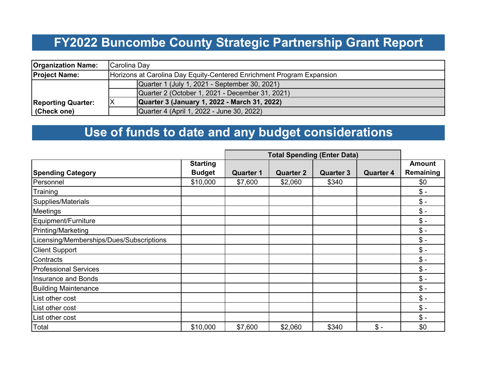# **FY2022 Buncombe County Strategic Partnership Grant Report**

| <b>Organization Name:</b> | Carolina Day                                                          |  |  |  |
|---------------------------|-----------------------------------------------------------------------|--|--|--|
| <b>Project Name:</b>      | Horizons at Carolina Day Equity-Centered Enrichment Program Expansion |  |  |  |
|                           | Quarter 1 (July 1, 2021 - September 30, 2021)                         |  |  |  |
|                           | Quarter 2 (October 1, 2021 - December 31, 2021)                       |  |  |  |
| <b>Reporting Quarter:</b> | Quarter 3 (January 1, 2022 - March 31, 2022)                          |  |  |  |
| (Check one)               | Quarter 4 (April 1, 2022 - June 30, 2022)                             |  |  |  |

## **Use of funds to date and any budget considerations**

|                                          |                 | <b>Total Spending (Enter Data)</b> |                  |                  |                  |               |
|------------------------------------------|-----------------|------------------------------------|------------------|------------------|------------------|---------------|
|                                          | <b>Starting</b> |                                    |                  |                  |                  | <b>Amount</b> |
| <b>Spending Category</b>                 | <b>Budget</b>   | <b>Quarter 1</b>                   | <b>Quarter 2</b> | <b>Quarter 3</b> | <b>Quarter 4</b> | Remaining     |
| Personnel                                | \$10,000        | \$7,600                            | \$2,060          | \$340            |                  | \$0           |
| Training                                 |                 |                                    |                  |                  |                  | $\$\,$        |
| Supplies/Materials                       |                 |                                    |                  |                  |                  | $\frac{1}{2}$ |
| Meetings                                 |                 |                                    |                  |                  |                  | $\$\;$        |
| Equipment/Furniture                      |                 |                                    |                  |                  |                  | $\$\;$        |
| Printing/Marketing                       |                 |                                    |                  |                  |                  | $\$\;$        |
| Licensing/Memberships/Dues/Subscriptions |                 |                                    |                  |                  |                  | $\frac{1}{2}$ |
| <b>Client Support</b>                    |                 |                                    |                  |                  |                  | $\$\;$        |
| Contracts                                |                 |                                    |                  |                  |                  | $\frac{1}{2}$ |
| <b>Professional Services</b>             |                 |                                    |                  |                  |                  | $\frac{1}{2}$ |
| <b>Insurance and Bonds</b>               |                 |                                    |                  |                  |                  | $\frac{1}{2}$ |
| <b>Building Maintenance</b>              |                 |                                    |                  |                  |                  | $\frac{1}{2}$ |
| List other cost                          |                 |                                    |                  |                  |                  | $\frac{1}{2}$ |
| List other cost                          |                 |                                    |                  |                  |                  | $$ -$         |
| List other cost                          |                 |                                    |                  |                  |                  | $\frac{1}{2}$ |
| Total                                    | \$10,000        | \$7,600                            | \$2,060          | \$340            | $\frac{1}{2}$    | \$0           |